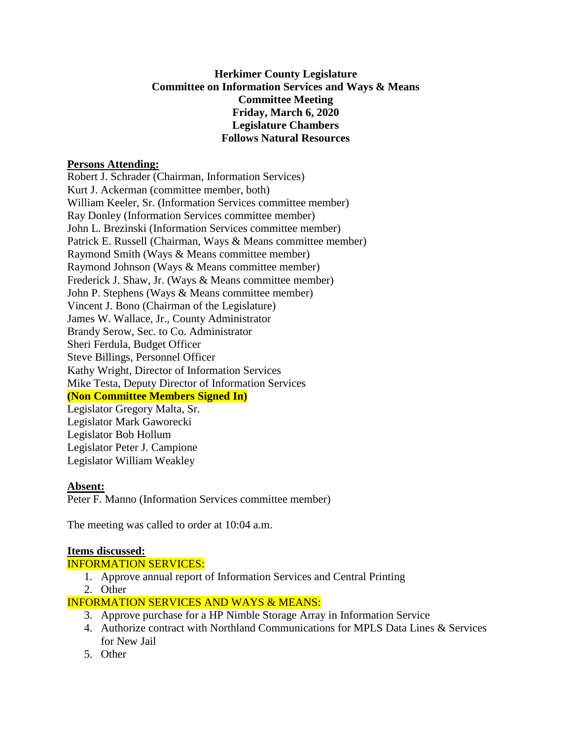# **Herkimer County Legislature Committee on Information Services and Ways & Means Committee Meeting Friday, March 6, 2020 Legislature Chambers Follows Natural Resources**

### **Persons Attending:**

Robert J. Schrader (Chairman, Information Services) Kurt J. Ackerman (committee member, both) William Keeler, Sr. (Information Services committee member) Ray Donley (Information Services committee member) John L. Brezinski (Information Services committee member) Patrick E. Russell (Chairman, Ways & Means committee member) Raymond Smith (Ways & Means committee member) Raymond Johnson (Ways & Means committee member) Frederick J. Shaw, Jr. (Ways & Means committee member) John P. Stephens (Ways & Means committee member) Vincent J. Bono (Chairman of the Legislature) James W. Wallace, Jr., County Administrator Brandy Serow, Sec. to Co. Administrator Sheri Ferdula, Budget Officer Steve Billings, Personnel Officer Kathy Wright, Director of Information Services Mike Testa, Deputy Director of Information Services **(Non Committee Members Signed In)** Legislator Gregory Malta, Sr. Legislator Mark Gaworecki

Legislator Bob Hollum Legislator Peter J. Campione Legislator William Weakley

#### **Absent:**

Peter F. Manno (Information Services committee member)

The meeting was called to order at 10:04 a.m.

#### **Items discussed:**

# INFORMATION SERVICES:

- 1. Approve annual report of Information Services and Central Printing
- 2. Other

# INFORMATION SERVICES AND WAYS & MEANS:

- 3. Approve purchase for a HP Nimble Storage Array in Information Service
- 4. Authorize contract with Northland Communications for MPLS Data Lines & Services for New Jail
- 5. Other